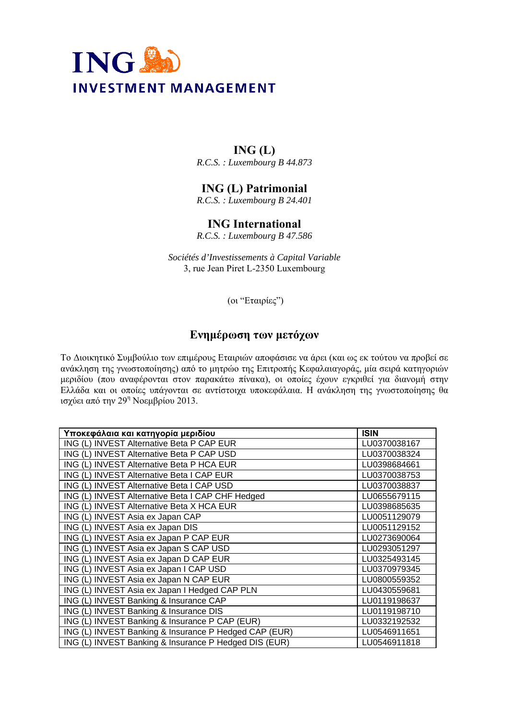

## **ING (L)**

*R.C.S. : Luxembourg B 44.873* 

## **ING (L) Patrimonial**

*R.C.S. : Luxembourg B 24.401* 

## **ING International**

*R.C.S. : Luxembourg B 47.586* 

*Sociétés d'Investissements à Capital Variable*  3, rue Jean Piret L-2350 Luxembourg

(οι "Εταιρίες")

## **Ενημέρωση των μετόχων**

Το Διοικητικό Συμβούλιο των επιμέρους Εταιριών αποφάσισε να άρει (και ως εκ τούτου να προβεί σε ανάκληση της γνωστοποίησης) από το μητρώο της Επιτροπής Κεφαλαιαγοράς, μία σειρά κατηγοριών μεριδίου (που αναφέρονται στον παρακάτω πίνακα), οι οποίες έχουν εγκριθεί για διανομή στην Ελλάδα και οι οποίες υπάγονται σε αντίστοιχα υποκεφάλαια. Η ανάκληση της γνωστοποίησης θα ισχύει από την 29<sup>η</sup> Νοεμβρίου 2013.

| Υποκεφάλαια και κατηγορία μεριδίου                    | <b>ISIN</b>  |
|-------------------------------------------------------|--------------|
| ING (L) INVEST Alternative Beta P CAP EUR             | LU0370038167 |
| ING (L) INVEST Alternative Beta P CAP USD             | LU0370038324 |
| ING (L) INVEST Alternative Beta P HCA EUR             | LU0398684661 |
| ING (L) INVEST Alternative Beta I CAP EUR             | LU0370038753 |
| ING (L) INVEST Alternative Beta I CAP USD             | LU0370038837 |
| ING (L) INVEST Alternative Beta I CAP CHF Hedged      | LU0655679115 |
| ING (L) INVEST Alternative Beta X HCA EUR             | LU0398685635 |
| ING (L) INVEST Asia ex Japan CAP                      | LU0051129079 |
| ING (L) INVEST Asia ex Japan DIS                      | LU0051129152 |
| ING (L) INVEST Asia ex Japan P CAP EUR                | LU0273690064 |
| ING (L) INVEST Asia ex Japan S CAP USD                | LU0293051297 |
| ING (L) INVEST Asia ex Japan D CAP EUR                | LU0325493145 |
| ING (L) INVEST Asia ex Japan I CAP USD                | LU0370979345 |
| ING (L) INVEST Asia ex Japan N CAP EUR                | LU0800559352 |
| ING (L) INVEST Asia ex Japan I Hedged CAP PLN         | LU0430559681 |
| ING (L) INVEST Banking & Insurance CAP                | LU0119198637 |
| <b>ING (L) INVEST Banking &amp; Insurance DIS</b>     | LU0119198710 |
| ING (L) INVEST Banking & Insurance P CAP (EUR)        | LU0332192532 |
| ING (L) INVEST Banking & Insurance P Hedged CAP (EUR) | LU0546911651 |
| ING (L) INVEST Banking & Insurance P Hedged DIS (EUR) | LU0546911818 |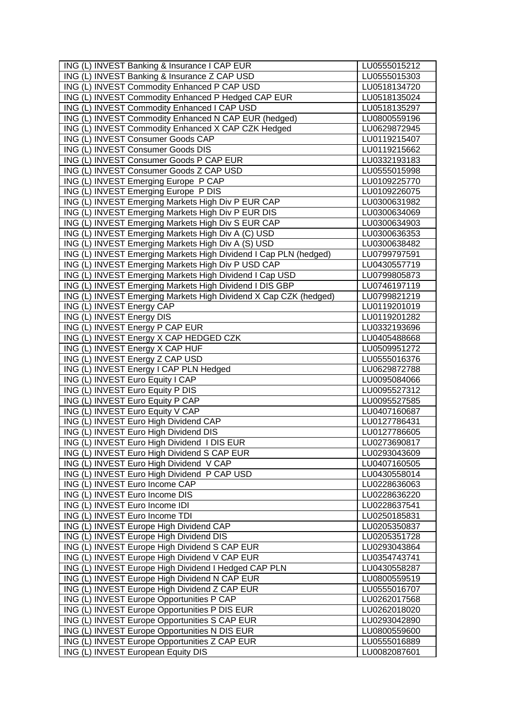| ING (L) INVEST Banking & Insurance I CAP EUR                                                   | LU0555015212                 |
|------------------------------------------------------------------------------------------------|------------------------------|
| ING (L) INVEST Banking & Insurance Z CAP USD                                                   | LU0555015303                 |
| ING (L) INVEST Commodity Enhanced P CAP USD                                                    | LU0518134720                 |
| ING (L) INVEST Commodity Enhanced P Hedged CAP EUR                                             | LU0518135024                 |
| ING (L) INVEST Commodity Enhanced I CAP USD                                                    | LU0518135297                 |
| ING (L) INVEST Commodity Enhanced N CAP EUR (hedged)                                           | LU0800559196                 |
| ING (L) INVEST Commodity Enhanced X CAP CZK Hedged                                             | LU0629872945                 |
| ING (L) INVEST Consumer Goods CAP                                                              | LU0119215407                 |
| ING (L) INVEST Consumer Goods DIS                                                              | LU0119215662                 |
| ING (L) INVEST Consumer Goods P CAP EUR                                                        | LU0332193183                 |
| ING (L) INVEST Consumer Goods Z CAP USD                                                        | LU0555015998                 |
| ING (L) INVEST Emerging Europe P CAP                                                           | LU0109225770                 |
| ING (L) INVEST Emerging Europe P DIS                                                           | LU0109226075                 |
| ING (L) INVEST Emerging Markets High Div P EUR CAP                                             | LU0300631982                 |
| ING (L) INVEST Emerging Markets High Div P EUR DIS                                             | LU0300634069                 |
| ING (L) INVEST Emerging Markets High Div S EUR CAP                                             | LU0300634903                 |
| ING (L) INVEST Emerging Markets High Div A (C) USD                                             | LU0300636353                 |
| ING (L) INVEST Emerging Markets High Div A (S) USD                                             | LU0300638482                 |
| ING (L) INVEST Emerging Markets High Dividend I Cap PLN (hedged)                               | LU0799797591                 |
| ING (L) INVEST Emerging Markets High Div P USD CAP                                             | LU0430557719                 |
| ING (L) INVEST Emerging Markets High Dividend I Cap USD                                        | LU0799805873                 |
| ING (L) INVEST Emerging Markets High Dividend I DIS GBP                                        | LU0746197119                 |
| ING (L) INVEST Emerging Markets High Dividend X Cap CZK (hedged)                               | LU0799821219                 |
| ING (L) INVEST Energy CAP                                                                      | LU0119201019                 |
| ING (L) INVEST Energy DIS                                                                      | LU0119201282                 |
| ING (L) INVEST Energy P CAP EUR                                                                | LU0332193696                 |
| ING (L) INVEST Energy X CAP HEDGED CZK                                                         | LU0405488668                 |
| ING (L) INVEST Energy X CAP HUF                                                                | LU0509951272                 |
| ING (L) INVEST Energy Z CAP USD                                                                | LU0555016376                 |
| ING (L) INVEST Energy I CAP PLN Hedged                                                         | LU0629872788                 |
| ING (L) INVEST Euro Equity I CAP                                                               | LU0095084066                 |
| ING (L) INVEST Euro Equity P DIS                                                               | LU0095527312                 |
| ING (L) INVEST Euro Equity P CAP                                                               | LU0095527585                 |
| ING (L) INVEST Euro Equity V CAP                                                               | LU0407160687                 |
| ING (L) INVEST Euro High Dividend CAP                                                          | LU0127786431                 |
| ING (L) INVEST Euro High Dividend DIS                                                          | LU0127786605                 |
| ING (L) INVEST Euro High Dividend I DIS EUR                                                    | LU0273690817                 |
| ING (L) INVEST Euro High Dividend S CAP EUR                                                    | LU0293043609                 |
| ING (L) INVEST Euro High Dividend V CAP                                                        | LU0407160505                 |
| ING (L) INVEST Euro High Dividend P CAP USD                                                    | LU0430558014                 |
| ING (L) INVEST Euro Income CAP                                                                 | LU0228636063                 |
| ING (L) INVEST Euro Income DIS                                                                 | LU0228636220                 |
| ING (L) INVEST Euro Income IDI                                                                 | LU0228637541                 |
| ING (L) INVEST Euro Income TDI                                                                 | LU0250185831                 |
| ING (L) INVEST Europe High Dividend CAP                                                        | LU0205350837                 |
| ING (L) INVEST Europe High Dividend DIS                                                        | LU0205351728                 |
| ING (L) INVEST Europe High Dividend S CAP EUR                                                  | LU0293043864                 |
| ING (L) INVEST Europe High Dividend V CAP EUR                                                  | LU0354743741                 |
| ING (L) INVEST Europe High Dividend I Hedged CAP PLN                                           | LU0430558287                 |
| ING (L) INVEST Europe High Dividend N CAP EUR                                                  | LU0800559519                 |
| ING (L) INVEST Europe High Dividend Z CAP EUR                                                  | LU0555016707                 |
| ING (L) INVEST Europe Opportunities P CAP                                                      | LU0262017568                 |
| ING (L) INVEST Europe Opportunities P DIS EUR<br>ING (L) INVEST Europe Opportunities S CAP EUR | LU0262018020                 |
| ING (L) INVEST Europe Opportunities N DIS EUR                                                  | LU0293042890<br>LU0800559600 |
| ING (L) INVEST Europe Opportunities Z CAP EUR                                                  | LU0555016889                 |
| ING (L) INVEST European Equity DIS                                                             | LU0082087601                 |
|                                                                                                |                              |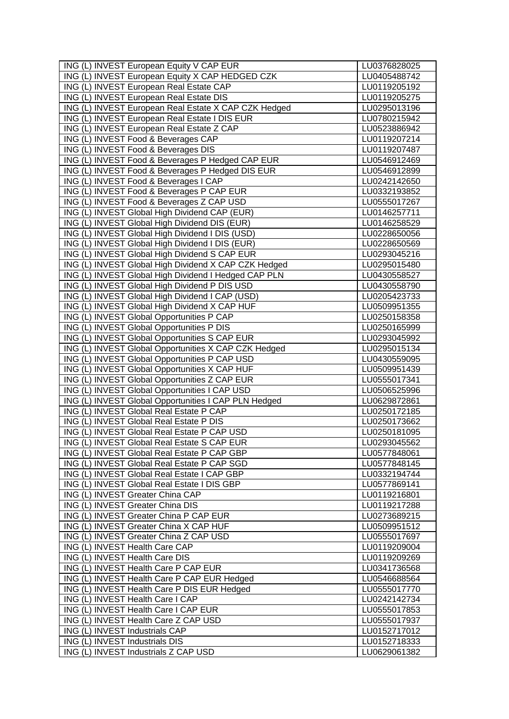| ING (L) INVEST European Equity V CAP EUR             | LU0376828025                 |
|------------------------------------------------------|------------------------------|
| ING (L) INVEST European Equity X CAP HEDGED CZK      | LU0405488742                 |
| ING (L) INVEST European Real Estate CAP              | LU0119205192                 |
| ING (L) INVEST European Real Estate DIS              | LU0119205275                 |
| ING (L) INVEST European Real Estate X CAP CZK Hedged | LU0295013196                 |
| ING (L) INVEST European Real Estate I DIS EUR        | LU0780215942                 |
| ING (L) INVEST European Real Estate Z CAP            | LU0523886942                 |
| ING (L) INVEST Food & Beverages CAP                  | LU0119207214                 |
| ING (L) INVEST Food & Beverages DIS                  | LU0119207487                 |
| ING (L) INVEST Food & Beverages P Hedged CAP EUR     | LU0546912469                 |
| ING (L) INVEST Food & Beverages P Hedged DIS EUR     | LU0546912899                 |
| ING (L) INVEST Food & Beverages I CAP                | LU0242142650                 |
| ING (L) INVEST Food & Beverages P CAP EUR            | LU0332193852                 |
| ING (L) INVEST Food & Beverages Z CAP USD            | LU0555017267                 |
| ING (L) INVEST Global High Dividend CAP (EUR)        | LU0146257711                 |
| ING (L) INVEST Global High Dividend DIS (EUR)        | LU0146258529                 |
| ING (L) INVEST Global High Dividend I DIS (USD)      | LU0228650056                 |
| ING (L) INVEST Global High Dividend I DIS (EUR)      | LU0228650569                 |
| ING (L) INVEST Global High Dividend S CAP EUR        | LU0293045216                 |
| ING (L) INVEST Global High Dividend X CAP CZK Hedged | LU0295015480                 |
| ING (L) INVEST Global High Dividend I Hedged CAP PLN | LU0430558527                 |
| ING (L) INVEST Global High Dividend P DIS USD        | LU0430558790                 |
| ING (L) INVEST Global High Dividend I CAP (USD)      | LU0205423733                 |
| ING (L) INVEST Global High Dividend X CAP HUF        | LU0509951355                 |
| ING (L) INVEST Global Opportunities P CAP            | LU0250158358                 |
| ING (L) INVEST Global Opportunities P DIS            | LU0250165999                 |
| ING (L) INVEST Global Opportunities S CAP EUR        | LU0293045992                 |
| ING (L) INVEST Global Opportunities X CAP CZK Hedged | LU0295015134                 |
| ING (L) INVEST Global Opportunities P CAP USD        | LU0430559095                 |
| ING (L) INVEST Global Opportunities X CAP HUF        | LU0509951439                 |
| ING (L) INVEST Global Opportunities Z CAP EUR        | LU0555017341                 |
| ING (L) INVEST Global Opportunities I CAP USD        | LU0506525996                 |
| ING (L) INVEST Global Opportunities I CAP PLN Hedged | LU0629872861                 |
| ING (L) INVEST Global Real Estate P CAP              | LU0250172185                 |
| ING (L) INVEST Global Real Estate P DIS              | LU0250173662                 |
| ING (L) INVEST Global Real Estate P CAP USD          | LU0250181095                 |
| ING (L) INVEST Global Real Estate S CAP EUR          | LU0293045562                 |
| ING (L) INVEST Global Real Estate P CAP GBP          | LU0577848061                 |
| ING (L) INVEST Global Real Estate P CAP SGD          | LU0577848145                 |
| ING (L) INVEST Global Real Estate I CAP GBP          | LU0332194744                 |
| ING (L) INVEST Global Real Estate I DIS GBP          | LU0577869141                 |
| ING (L) INVEST Greater China CAP                     | LU0119216801                 |
| ING (L) INVEST Greater China DIS                     | LU0119217288                 |
| ING (L) INVEST Greater China P CAP EUR               | LU0273689215                 |
| ING (L) INVEST Greater China X CAP HUF               | LU0509951512                 |
| ING (L) INVEST Greater China Z CAP USD               | LU0555017697                 |
| ING (L) INVEST Health Care CAP                       | LU0119209004                 |
| ING (L) INVEST Health Care DIS                       | LU0119209269                 |
| ING (L) INVEST Health Care P CAP EUR                 | LU0341736568                 |
| ING (L) INVEST Health Care P CAP EUR Hedged          | LU0546688564                 |
| ING (L) INVEST Health Care P DIS EUR Hedged          | LU0555017770                 |
| ING (L) INVEST Health Care I CAP                     | LU0242142734                 |
| ING (L) INVEST Health Care I CAP EUR                 |                              |
| ING (L) INVEST Health Care Z CAP USD                 | LU0555017853                 |
| ING (L) INVEST Industrials CAP                       | LU0555017937<br>LU0152717012 |
| ING (L) INVEST Industrials DIS                       |                              |
|                                                      | LU0152718333                 |
| ING (L) INVEST Industrials Z CAP USD                 | LU0629061382                 |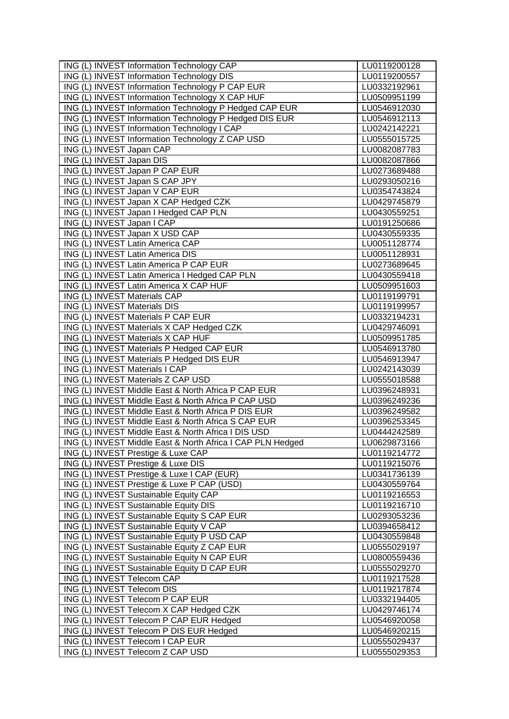| ING (L) INVEST Information Technology CAP                  | LU0119200128 |
|------------------------------------------------------------|--------------|
| <b>ING (L) INVEST Information Technology DIS</b>           | LU0119200557 |
| ING (L) INVEST Information Technology P CAP EUR            | LU0332192961 |
| ING (L) INVEST Information Technology X CAP HUF            | LU0509951199 |
| ING (L) INVEST Information Technology P Hedged CAP EUR     | LU0546912030 |
| ING (L) INVEST Information Technology P Hedged DIS EUR     | LU0546912113 |
| ING (L) INVEST Information Technology I CAP                | LU0242142221 |
| ING (L) INVEST Information Technology Z CAP USD            | LU0555015725 |
| ING (L) INVEST Japan CAP                                   | LU0082087783 |
| ING (L) INVEST Japan DIS                                   | LU0082087866 |
| ING (L) INVEST Japan P CAP EUR                             | LU0273689488 |
| ING (L) INVEST Japan S CAP JPY                             | LU0293050216 |
| ING (L) INVEST Japan V CAP EUR                             | LU0354743824 |
| ING (L) INVEST Japan X CAP Hedged CZK                      | LU0429745879 |
| ING (L) INVEST Japan I Hedged CAP PLN                      | LU0430559251 |
| ING (L) INVEST Japan I CAP                                 | LU0191250686 |
| ING (L) INVEST Japan X USD CAP                             | LU0430559335 |
| ING (L) INVEST Latin America CAP                           | LU0051128774 |
| ING (L) INVEST Latin America DIS                           | LU0051128931 |
| ING (L) INVEST Latin America P CAP EUR                     | LU0273689645 |
| ING (L) INVEST Latin America I Hedged CAP PLN              | LU0430559418 |
| ING (L) INVEST Latin America X CAP HUF                     | LU0509951603 |
| <b>ING (L) INVEST Materials CAP</b>                        | LU0119199791 |
| ING (L) INVEST Materials DIS                               | LU0119199957 |
| ING (L) INVEST Materials P CAP EUR                         | LU0332194231 |
| ING (L) INVEST Materials X CAP Hedged CZK                  | LU0429746091 |
| ING (L) INVEST Materials X CAP HUF                         | LU0509951785 |
| ING (L) INVEST Materials P Hedged CAP EUR                  | LU0546913780 |
| ING (L) INVEST Materials P Hedged DIS EUR                  | LU0546913947 |
| ING (L) INVEST Materials I CAP                             | LU0242143039 |
| ING (L) INVEST Materials Z CAP USD                         | LU0555018588 |
| ING (L) INVEST Middle East & North Africa P CAP EUR        | LU0396248931 |
| ING (L) INVEST Middle East & North Africa P CAP USD        | LU0396249236 |
| ING (L) INVEST Middle East & North Africa P DIS EUR        | LU0396249582 |
| ING (L) INVEST Middle East & North Africa S CAP EUR        | LU0396253345 |
| ING (L) INVEST Middle East & North Africa I DIS USD        | LU0444242589 |
| ING (L) INVEST Middle East & North Africa I CAP PLN Hedged | LU0629873166 |
| ING (L) INVEST Prestige & Luxe CAP                         | LU0119214772 |
| ING (L) INVEST Prestige & Luxe DIS                         | LU0119215076 |
| ING (L) INVEST Prestige & Luxe I CAP (EUR)                 | LU0341736139 |
| ING (L) INVEST Prestige & Luxe P CAP (USD)                 | LU0430559764 |
| ING (L) INVEST Sustainable Equity CAP                      | LU0119216553 |
| ING (L) INVEST Sustainable Equity DIS                      | LU0119216710 |
| ING (L) INVEST Sustainable Equity S CAP EUR                | LU0293053236 |
| ING (L) INVEST Sustainable Equity V CAP                    | LU0394658412 |
| ING (L) INVEST Sustainable Equity P USD CAP                | LU0430559848 |
| ING (L) INVEST Sustainable Equity Z CAP EUR                | LU0555029197 |
| ING (L) INVEST Sustainable Equity N CAP EUR                | LU0800559436 |
| ING (L) INVEST Sustainable Equity D CAP EUR                | LU0555029270 |
| ING (L) INVEST Telecom CAP                                 | LU0119217528 |
| ING (L) INVEST Telecom DIS                                 | LU0119217874 |
| ING (L) INVEST Telecom P CAP EUR                           | LU0332194405 |
| ING (L) INVEST Telecom X CAP Hedged CZK                    | LU0429746174 |
| ING (L) INVEST Telecom P CAP EUR Hedged                    | LU0546920058 |
| ING (L) INVEST Telecom P DIS EUR Hedged                    | LU0546920215 |
| ING (L) INVEST Telecom I CAP EUR                           | LU0555029437 |
| ING (L) INVEST Telecom Z CAP USD                           | LU0555029353 |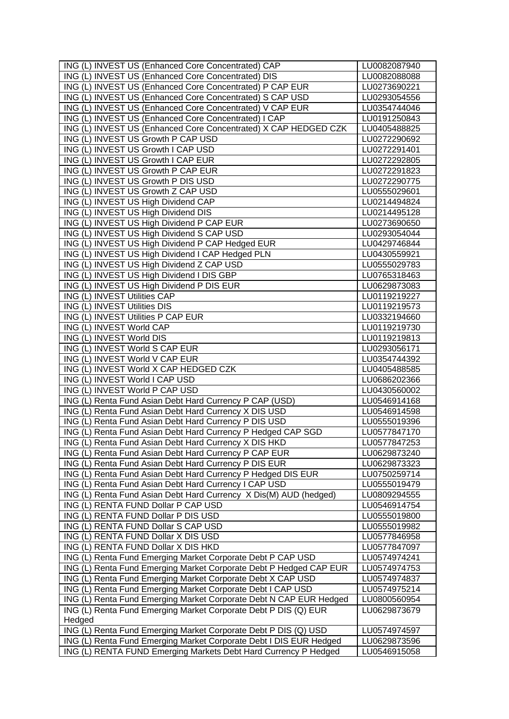| ING (L) INVEST US (Enhanced Core Concentrated) CAP                 | LU0082087940 |
|--------------------------------------------------------------------|--------------|
| ING (L) INVEST US (Enhanced Core Concentrated) DIS                 | LU0082088088 |
| ING (L) INVEST US (Enhanced Core Concentrated) P CAP EUR           | LU0273690221 |
| ING (L) INVEST US (Enhanced Core Concentrated) S CAP USD           | LU0293054556 |
| ING (L) INVEST US (Enhanced Core Concentrated) V CAP EUR           | LU0354744046 |
| ING (L) INVEST US (Enhanced Core Concentrated) I CAP               | LU0191250843 |
| ING (L) INVEST US (Enhanced Core Concentrated) X CAP HEDGED CZK    | LU0405488825 |
| ING (L) INVEST US Growth P CAP USD                                 | LU0272290692 |
| ING (L) INVEST US Growth I CAP USD                                 | LU0272291401 |
| ING (L) INVEST US Growth I CAP EUR                                 | LU0272292805 |
| ING (L) INVEST US Growth P CAP EUR                                 | LU0272291823 |
| ING (L) INVEST US Growth P DIS USD                                 | LU0272290775 |
| ING (L) INVEST US Growth Z CAP USD                                 | LU0555029601 |
| ING (L) INVEST US High Dividend CAP                                | LU0214494824 |
| ING (L) INVEST US High Dividend DIS                                | LU0214495128 |
| ING (L) INVEST US High Dividend P CAP EUR                          | LU0273690650 |
| ING (L) INVEST US High Dividend S CAP USD                          | LU0293054044 |
| ING (L) INVEST US High Dividend P CAP Hedged EUR                   | LU0429746844 |
| ING (L) INVEST US High Dividend I CAP Hedged PLN                   | LU0430559921 |
| ING (L) INVEST US High Dividend Z CAP USD                          | LU0555029783 |
| ING (L) INVEST US High Dividend I DIS GBP                          | LU0765318463 |
| ING (L) INVEST US High Dividend P DIS EUR                          | LU0629873083 |
| ING (L) INVEST Utilities CAP                                       | LU0119219227 |
| ING (L) INVEST Utilities DIS                                       | LU0119219573 |
| ING (L) INVEST Utilities P CAP EUR                                 | LU0332194660 |
| ING (L) INVEST World CAP                                           | LU0119219730 |
| ING (L) INVEST World DIS                                           | LU0119219813 |
| ING (L) INVEST World S CAP EUR                                     | LU0293056171 |
| ING (L) INVEST World V CAP EUR                                     | LU0354744392 |
| ING (L) INVEST World X CAP HEDGED CZK                              | LU0405488585 |
| ING (L) INVEST World I CAP USD                                     | LU0686202366 |
| ING (L) INVEST World P CAP USD                                     | LU0430560002 |
| ING (L) Renta Fund Asian Debt Hard Currency P CAP (USD)            | LU0546914168 |
| ING (L) Renta Fund Asian Debt Hard Currency X DIS USD              | LU0546914598 |
| ING (L) Renta Fund Asian Debt Hard Currency P DIS USD              | LU0555019396 |
| ING (L) Renta Fund Asian Debt Hard Currency P Hedged CAP SGD       | LU0577847170 |
| ING (L) Renta Fund Asian Debt Hard Currency X DIS HKD              | LU0577847253 |
| ING (L) Renta Fund Asian Debt Hard Currency P CAP EUR              | LU0629873240 |
| ING (L) Renta Fund Asian Debt Hard Currency P DIS EUR              | LU0629873323 |
| ING (L) Renta Fund Asian Debt Hard Currency P Hedged DIS EUR       | LU0750259714 |
| ING (L) Renta Fund Asian Debt Hard Currency I CAP USD              | LU0555019479 |
| ING (L) Renta Fund Asian Debt Hard Currency X Dis(M) AUD (hedged)  | LU0809294555 |
| ING (L) RENTA FUND Dollar P CAP USD                                | LU0546914754 |
| ING (L) RENTA FUND Dollar P DIS USD                                | LU0555019800 |
| ING (L) RENTA FUND Dollar S CAP USD                                | LU0555019982 |
| ING (L) RENTA FUND Dollar X DIS USD                                | LU0577846958 |
| ING (L) RENTA FUND Dollar X DIS HKD                                | LU0577847097 |
| ING (L) Renta Fund Emerging Market Corporate Debt P CAP USD        | LU0574974241 |
| ING (L) Renta Fund Emerging Market Corporate Debt P Hedged CAP EUR | LU0574974753 |
| ING (L) Renta Fund Emerging Market Corporate Debt X CAP USD        | LU0574974837 |
| ING (L) Renta Fund Emerging Market Corporate Debt I CAP USD        | LU0574975214 |
| ING (L) Renta Fund Emerging Market Corporate Debt N CAP EUR Hedged | LU0800560954 |
| ING (L) Renta Fund Emerging Market Corporate Debt P DIS (Q) EUR    | LU0629873679 |
| Hedged                                                             |              |
| ING (L) Renta Fund Emerging Market Corporate Debt P DIS (Q) USD    | LU0574974597 |
| ING (L) Renta Fund Emerging Market Corporate Debt I DIS EUR Hedged | LU0629873596 |
| ING (L) RENTA FUND Emerging Markets Debt Hard Currency P Hedged    | LU0546915058 |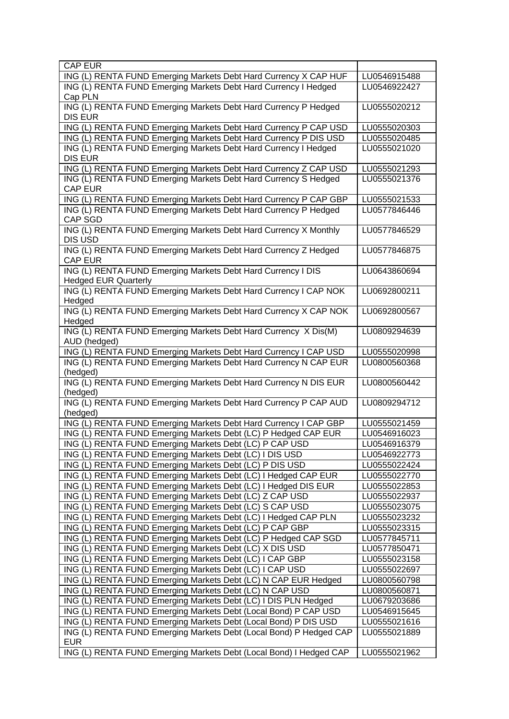| <b>CAP EUR</b>                                                                              |              |
|---------------------------------------------------------------------------------------------|--------------|
| ING (L) RENTA FUND Emerging Markets Debt Hard Currency X CAP HUF                            | LU0546915488 |
| ING (L) RENTA FUND Emerging Markets Debt Hard Currency I Hedged                             | LU0546922427 |
| Cap PLN                                                                                     |              |
| ING (L) RENTA FUND Emerging Markets Debt Hard Currency P Hedged<br><b>DIS EUR</b>           | LU0555020212 |
| ING (L) RENTA FUND Emerging Markets Debt Hard Currency P CAP USD                            | LU0555020303 |
| ING (L) RENTA FUND Emerging Markets Debt Hard Currency P DIS USD                            | LU0555020485 |
| ING (L) RENTA FUND Emerging Markets Debt Hard Currency I Hedged                             | LU0555021020 |
| <b>DIS EUR</b>                                                                              |              |
| ING (L) RENTA FUND Emerging Markets Debt Hard Currency Z CAP USD                            | LU0555021293 |
| ING (L) RENTA FUND Emerging Markets Debt Hard Currency S Hedged<br><b>CAP EUR</b>           | LU0555021376 |
| ING (L) RENTA FUND Emerging Markets Debt Hard Currency P CAP GBP                            | LU0555021533 |
| ING (L) RENTA FUND Emerging Markets Debt Hard Currency P Hedged                             | LU0577846446 |
| CAP SGD                                                                                     |              |
| ING (L) RENTA FUND Emerging Markets Debt Hard Currency X Monthly                            | LU0577846529 |
| DIS USD                                                                                     |              |
| ING (L) RENTA FUND Emerging Markets Debt Hard Currency Z Hedged                             | LU0577846875 |
| <b>CAP EUR</b>                                                                              |              |
| ING (L) RENTA FUND Emerging Markets Debt Hard Currency I DIS<br><b>Hedged EUR Quarterly</b> | LU0643860694 |
| ING (L) RENTA FUND Emerging Markets Debt Hard Currency I CAP NOK                            | LU0692800211 |
| Hedged                                                                                      |              |
| ING (L) RENTA FUND Emerging Markets Debt Hard Currency X CAP NOK                            | LU0692800567 |
| Hedged                                                                                      |              |
| ING (L) RENTA FUND Emerging Markets Debt Hard Currency X Dis(M)                             | LU0809294639 |
| AUD (hedged)                                                                                |              |
| ING (L) RENTA FUND Emerging Markets Debt Hard Currency I CAP USD                            | LU0555020998 |
| ING (L) RENTA FUND Emerging Markets Debt Hard Currency N CAP EUR                            | LU0800560368 |
| (hedged)<br>ING (L) RENTA FUND Emerging Markets Debt Hard Currency N DIS EUR                |              |
| (hedged)                                                                                    | LU0800560442 |
| ING (L) RENTA FUND Emerging Markets Debt Hard Currency P CAP AUD                            | LU0809294712 |
| (hedged)                                                                                    |              |
| ING (L) RENTA FUND Emerging Markets Debt Hard Currency I CAP GBP                            | LU0555021459 |
| ING (L) RENTA FUND Emerging Markets Debt (LC) P Hedged CAP EUR                              | LU0546916023 |
| ING (L) RENTA FUND Emerging Markets Debt (LC) P CAP USD                                     | LU0546916379 |
| ING (L) RENTA FUND Emerging Markets Debt (LC) I DIS USD                                     | LU0546922773 |
| ING (L) RENTA FUND Emerging Markets Debt (LC) P DIS USD                                     | LU0555022424 |
| ING (L) RENTA FUND Emerging Markets Debt (LC) I Hedged CAP EUR                              | LU0555022770 |
| ING (L) RENTA FUND Emerging Markets Debt (LC) I Hedged DIS EUR                              | LU0555022853 |
| ING (L) RENTA FUND Emerging Markets Debt (LC) Z CAP USD                                     | LU0555022937 |
| ING (L) RENTA FUND Emerging Markets Debt (LC) S CAP USD                                     | LU0555023075 |
| ING (L) RENTA FUND Emerging Markets Debt (LC) I Hedged CAP PLN                              | LU0555023232 |
| ING (L) RENTA FUND Emerging Markets Debt (LC) P CAP GBP                                     | LU0555023315 |
| ING (L) RENTA FUND Emerging Markets Debt (LC) P Hedged CAP SGD                              | LU0577845711 |
| ING (L) RENTA FUND Emerging Markets Debt (LC) X DIS USD                                     | LU0577850471 |
| ING (L) RENTA FUND Emerging Markets Debt (LC) I CAP GBP                                     | LU0555023158 |
| ING (L) RENTA FUND Emerging Markets Debt (LC) I CAP USD                                     | LU0555022697 |
| ING (L) RENTA FUND Emerging Markets Debt (LC) N CAP EUR Hedged                              | LU0800560798 |
| ING (L) RENTA FUND Emerging Markets Debt (LC) N CAP USD                                     | LU0800560871 |
| ING (L) RENTA FUND Emerging Markets Debt (LC) I DIS PLN Hedged                              | LU0679203686 |
| ING (L) RENTA FUND Emerging Markets Debt (Local Bond) P CAP USD                             | LU0546915645 |
| ING (L) RENTA FUND Emerging Markets Debt (Local Bond) P DIS USD                             | LU0555021616 |
| ING (L) RENTA FUND Emerging Markets Debt (Local Bond) P Hedged CAP                          | LU0555021889 |
| <b>EUR</b>                                                                                  |              |
| ING (L) RENTA FUND Emerging Markets Debt (Local Bond) I Hedged CAP                          | LU0555021962 |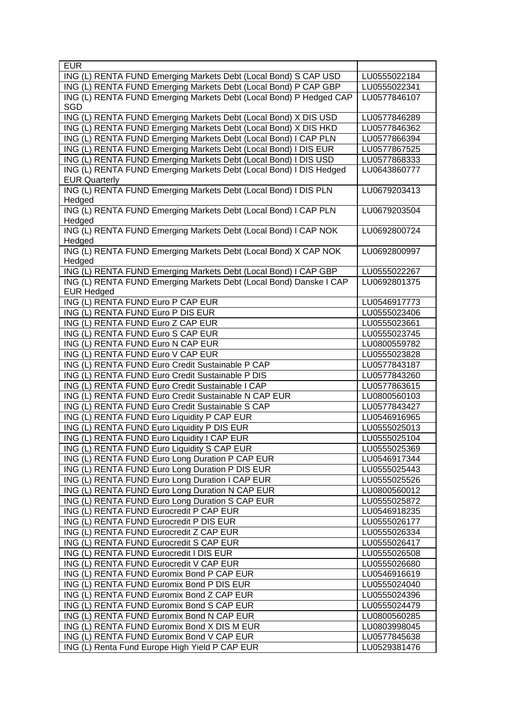| <b>EUR</b>                                                         |              |
|--------------------------------------------------------------------|--------------|
| ING (L) RENTA FUND Emerging Markets Debt (Local Bond) S CAP USD    | LU0555022184 |
| ING (L) RENTA FUND Emerging Markets Debt (Local Bond) P CAP GBP    | LU0555022341 |
| ING (L) RENTA FUND Emerging Markets Debt (Local Bond) P Hedged CAP | LU0577846107 |
| SGD                                                                |              |
| ING (L) RENTA FUND Emerging Markets Debt (Local Bond) X DIS USD    | LU0577846289 |
| ING (L) RENTA FUND Emerging Markets Debt (Local Bond) X DIS HKD    | LU0577846362 |
| ING (L) RENTA FUND Emerging Markets Debt (Local Bond) I CAP PLN    | LU0577866394 |
| ING (L) RENTA FUND Emerging Markets Debt (Local Bond) I DIS EUR    | LU0577867525 |
| ING (L) RENTA FUND Emerging Markets Debt (Local Bond) I DIS USD    | LU0577868333 |
| ING (L) RENTA FUND Emerging Markets Debt (Local Bond) I DIS Hedged | LU0643860777 |
| <b>EUR Quarterly</b>                                               |              |
| ING (L) RENTA FUND Emerging Markets Debt (Local Bond) I DIS PLN    | LU0679203413 |
| Hedged                                                             |              |
| ING (L) RENTA FUND Emerging Markets Debt (Local Bond) I CAP PLN    | LU0679203504 |
| Hedged                                                             |              |
| ING (L) RENTA FUND Emerging Markets Debt (Local Bond) I CAP NOK    | LU0692800724 |
| Hedged                                                             |              |
| ING (L) RENTA FUND Emerging Markets Debt (Local Bond) X CAP NOK    | LU0692800997 |
| Hedged                                                             |              |
| ING (L) RENTA FUND Emerging Markets Debt (Local Bond) I CAP GBP    | LU0555022267 |
| ING (L) RENTA FUND Emerging Markets Debt (Local Bond) Danske I CAP | LU0692801375 |
| <b>EUR Hedged</b>                                                  |              |
| ING (L) RENTA FUND Euro P CAP EUR                                  | LU0546917773 |
| ING (L) RENTA FUND Euro P DIS EUR                                  | LU0555023406 |
| ING (L) RENTA FUND Euro Z CAP EUR                                  | LU0555023661 |
| ING (L) RENTA FUND Euro S CAP EUR                                  | LU0555023745 |
| ING (L) RENTA FUND Euro N CAP EUR                                  | LU0800559782 |
| ING (L) RENTA FUND Euro V CAP EUR                                  | LU0555023828 |
| ING (L) RENTA FUND Euro Credit Sustainable P CAP                   | LU0577843187 |
| ING (L) RENTA FUND Euro Credit Sustainable P DIS                   | LU0577843260 |
| ING (L) RENTA FUND Euro Credit Sustainable I CAP                   | LU0577863615 |
| ING (L) RENTA FUND Euro Credit Sustainable N CAP EUR               | LU0800560103 |
| ING (L) RENTA FUND Euro Credit Sustainable S CAP                   | LU0577843427 |
| ING (L) RENTA FUND Euro Liquidity P CAP EUR                        | LU0546916965 |
| ING (L) RENTA FUND Euro Liquidity P DIS EUR                        | LU0555025013 |
| ING (L) RENTA FUND Euro Liquidity I CAP EUR                        | LU0555025104 |
| ING (L) RENTA FUND Euro Liquidity S CAP EUR                        | LU0555025369 |
| ING (L) RENTA FUND Euro Long Duration P CAP EUR                    | LU0546917344 |
| ING (L) RENTA FUND Euro Long Duration P DIS EUR                    | LU0555025443 |
| ING (L) RENTA FUND Euro Long Duration I CAP EUR                    | LU0555025526 |
| ING (L) RENTA FUND Euro Long Duration N CAP EUR                    | LU0800560012 |
| ING (L) RENTA FUND Euro Long Duration S CAP EUR                    | LU0555025872 |
| ING (L) RENTA FUND Eurocredit P CAP EUR                            | LU0546918235 |
| ING (L) RENTA FUND Eurocredit P DIS EUR                            | LU0555026177 |
| ING (L) RENTA FUND Eurocredit Z CAP EUR                            | LU0555026334 |
| ING (L) RENTA FUND Eurocredit S CAP EUR                            | LU0555026417 |
| ING (L) RENTA FUND Eurocredit I DIS EUR                            | LU0555026508 |
| ING (L) RENTA FUND Eurocredit V CAP EUR                            | LU0555026680 |
| ING (L) RENTA FUND Euromix Bond P CAP EUR                          | LU0546916619 |
| ING (L) RENTA FUND Euromix Bond P DIS EUR                          | LU0555024040 |
| ING (L) RENTA FUND Euromix Bond Z CAP EUR                          |              |
|                                                                    | LU0555024396 |
| ING (L) RENTA FUND Euromix Bond S CAP EUR                          | LU0555024479 |
| ING (L) RENTA FUND Euromix Bond N CAP EUR                          | LU0800560285 |
| ING (L) RENTA FUND Euromix Bond X DIS M EUR                        | LU0803998045 |
| ING (L) RENTA FUND Euromix Bond V CAP EUR                          | LU0577845638 |
| ING (L) Renta Fund Europe High Yield P CAP EUR                     | LU0529381476 |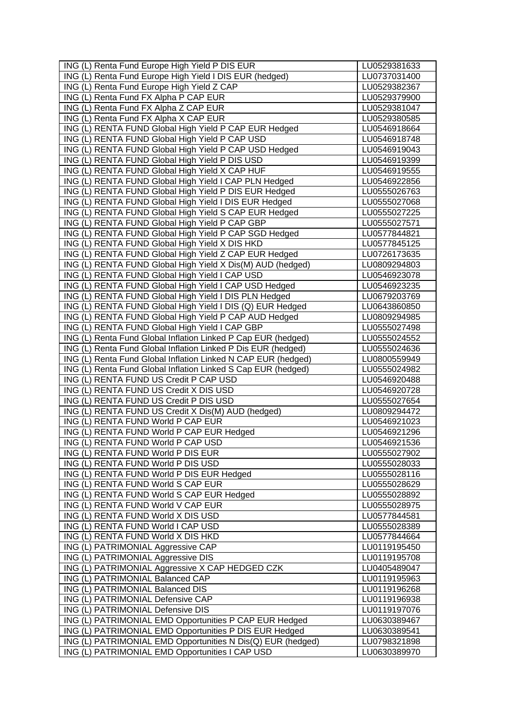| ING (L) Renta Fund Europe High Yield P DIS EUR                                              | LU0529381633                 |
|---------------------------------------------------------------------------------------------|------------------------------|
| ING (L) Renta Fund Europe High Yield I DIS EUR (hedged)                                     | LU0737031400                 |
| ING (L) Renta Fund Europe High Yield Z CAP                                                  | LU0529382367                 |
| ING (L) Renta Fund FX Alpha P CAP EUR                                                       | LU0529379900                 |
| ING (L) Renta Fund FX Alpha Z CAP EUR                                                       | LU0529381047                 |
| ING (L) Renta Fund FX Alpha X CAP EUR                                                       | LU0529380585                 |
| ING (L) RENTA FUND Global High Yield P CAP EUR Hedged                                       | LU0546918664                 |
| ING (L) RENTA FUND Global High Yield P CAP USD                                              | LU0546918748                 |
| ING (L) RENTA FUND Global High Yield P CAP USD Hedged                                       | LU0546919043                 |
| ING (L) RENTA FUND Global High Yield P DIS USD                                              | LU0546919399                 |
| ING (L) RENTA FUND Global High Yield X CAP HUF                                              | LU0546919555                 |
| ING (L) RENTA FUND Global High Yield I CAP PLN Hedged                                       | LU0546922856                 |
| ING (L) RENTA FUND Global High Yield P DIS EUR Hedged                                       | LU0555026763                 |
| ING (L) RENTA FUND Global High Yield I DIS EUR Hedged                                       | LU0555027068                 |
| ING (L) RENTA FUND Global High Yield S CAP EUR Hedged                                       | LU0555027225                 |
| ING (L) RENTA FUND Global High Yield P CAP GBP                                              | LU0555027571                 |
| ING (L) RENTA FUND Global High Yield P CAP SGD Hedged                                       | LU0577844821                 |
| ING (L) RENTA FUND Global High Yield X DIS HKD                                              | LU0577845125                 |
| ING (L) RENTA FUND Global High Yield Z CAP EUR Hedged                                       | LU0726173635                 |
| ING (L) RENTA FUND Global High Yield X Dis(M) AUD (hedged)                                  | LU0809294803                 |
| ING (L) RENTA FUND Global High Yield I CAP USD                                              | LU0546923078                 |
| ING (L) RENTA FUND Global High Yield I CAP USD Hedged                                       | LU0546923235                 |
| ING (L) RENTA FUND Global High Yield I DIS PLN Hedged                                       | LU0679203769                 |
| ING (L) RENTA FUND Global High Yield I DIS (Q) EUR Hedged                                   | LU0643860850                 |
| ING (L) RENTA FUND Global High Yield P CAP AUD Hedged                                       | LU0809294985                 |
| ING (L) RENTA FUND Global High Yield I CAP GBP                                              | LU0555027498                 |
| ING (L) Renta Fund Global Inflation Linked P Cap EUR (hedged)                               | LU0555024552                 |
| ING (L) Renta Fund Global Inflation Linked P Dis EUR (hedged)                               | LU0555024636                 |
| ING (L) Renta Fund Global Inflation Linked N CAP EUR (hedged)                               | LU0800559949                 |
| ING (L) Renta Fund Global Inflation Linked S Cap EUR (hedged)                               | LU0555024982                 |
| ING (L) RENTA FUND US Credit P CAP USD                                                      | LU0546920488                 |
| ING (L) RENTA FUND US Credit X DIS USD                                                      | LU0546920728                 |
| ING (L) RENTA FUND US Credit P DIS USD                                                      | LU0555027654                 |
| ING (L) RENTA FUND US Credit X Dis(M) AUD (hedged)                                          | LU0809294472                 |
| ING (L) RENTA FUND World P CAP EUR                                                          | LU0546921023                 |
| ING (L) RENTA FUND World P CAP EUR Hedged                                                   | LU0546921296                 |
| ING (L) RENTA FUND World P CAP USD                                                          | LU0546921536                 |
| ING (L) RENTA FUND World P DIS EUR                                                          | LU0555027902                 |
| ING (L) RENTA FUND World P DIS USD                                                          | LU0555028033                 |
| ING (L) RENTA FUND World P DIS EUR Hedged                                                   | LU0555028116                 |
| ING (L) RENTA FUND World S CAP EUR                                                          | LU0555028629                 |
| ING (L) RENTA FUND World S CAP EUR Hedged                                                   | LU0555028892                 |
| ING (L) RENTA FUND World V CAP EUR                                                          | LU0555028975                 |
| ING (L) RENTA FUND World X DIS USD                                                          | LU0577844581                 |
| ING (L) RENTA FUND World I CAP USD                                                          | LU0555028389                 |
| ING (L) RENTA FUND World X DIS HKD                                                          | LU0577844664                 |
| ING (L) PATRIMONIAL Aggressive CAP                                                          | LU0119195450                 |
| ING (L) PATRIMONIAL Aggressive DIS                                                          | LU0119195708                 |
| ING (L) PATRIMONIAL Aggressive X CAP HEDGED CZK                                             | LU0405489047                 |
| ING (L) PATRIMONIAL Balanced CAP                                                            | LU0119195963                 |
| ING (L) PATRIMONIAL Balanced DIS                                                            | LU0119196268                 |
| ING (L) PATRIMONIAL Defensive CAP                                                           | LU0119196938                 |
| ING (L) PATRIMONIAL Defensive DIS<br>ING (L) PATRIMONIAL EMD Opportunities P CAP EUR Hedged | LU0119197076                 |
| ING (L) PATRIMONIAL EMD Opportunities P DIS EUR Hedged                                      | LU0630389467<br>LU0630389541 |
| ING (L) PATRIMONIAL EMD Opportunities N Dis(Q) EUR (hedged)                                 | LU0798321898                 |
| ING (L) PATRIMONIAL EMD Opportunities I CAP USD                                             | LU0630389970                 |
|                                                                                             |                              |